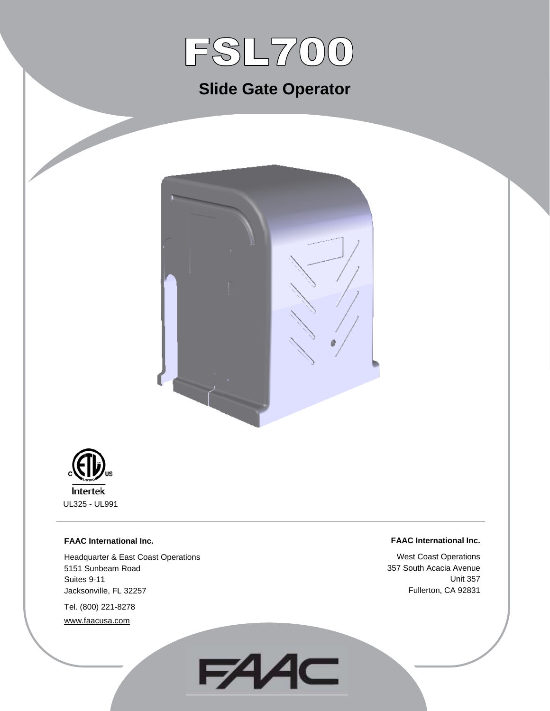

# **Slide Gate Operator**





#### **FAAC International Inc.**

Headquarter & East Coast Operations 5151 Sunbeam Road Suites 9-11 Jacksonville, FL 32257

Tel. (800) 221-8278 www.faacusa.com

#### **FAAC International Inc.**

West Coast Operations 357 South Acacia Avenue Unit 357 Fullerton, CA 92831

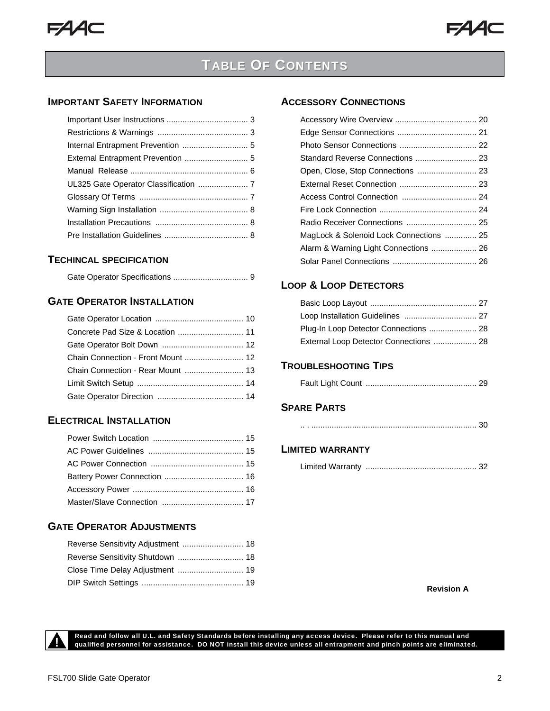## **TABLE OF CONTENTS**

### **IMPORTANT SAFETY INFORMATION**

#### **TECHINCAL SPECIFICATION**

Gate Operator Specifications .................................9

### **GATE OPERATOR INSTALLATION**

| Concrete Pad Size & Location  11  |
|-----------------------------------|
|                                   |
|                                   |
| Chain Connection - Rear Mount  13 |
|                                   |
|                                   |

### **ELECTRICAL INSTALLATION**

#### **GATE OPERATOR ADJUSTMENTS**

| Reverse Sensitivity Adjustment  18 |  |
|------------------------------------|--|
|                                    |  |
|                                    |  |
|                                    |  |

#### **ACCESSORY CONNECTIONS**

| Standard Reverse Connections  23        |  |
|-----------------------------------------|--|
| Open, Close, Stop Connections  23       |  |
|                                         |  |
|                                         |  |
|                                         |  |
| Radio Receiver Connections  25          |  |
| MagLock & Solenoid Lock Connections  25 |  |
| Alarm & Warning Light Connections  26   |  |
|                                         |  |
|                                         |  |

### **LOOP & LOOP DETECTORS**

| External Loop Detector Connections  28 |  |
|----------------------------------------|--|

### **TROUBLESHOOTING TIPS**

|--|--|--|

### **SPARE PARTS**

### **LIMITED WARRANTY**

|--|--|

**Revision A** 



Read and follow all U.L. and Safety Standards before installing any access device. Please refer to this manual and<br>qualified personnel for assistance. DO NOT install this device unless all entrapment and pinch points are e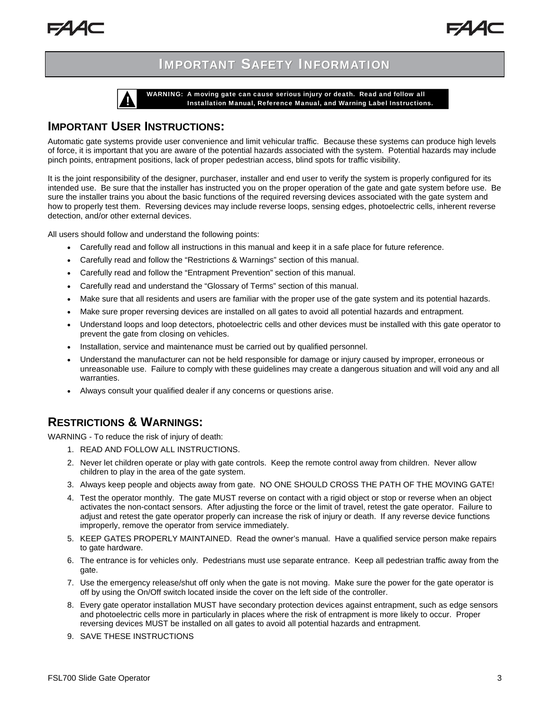

WARNING: A moving gate can cause serious injury or death. Read and follow all<br>Installation Manual, Reference Manual, and Warning Label Instructions.

### **IMPORTANT USER INSTRUCTIONS:**

Automatic gate systems provide user convenience and limit vehicular traffic. Because these systems can produce high levels of force, it is important that you are aware of the potential hazards associated with the system. Potential hazards may include pinch points, entrapment positions, lack of proper pedestrian access, blind spots for traffic visibility.

It is the joint responsibility of the designer, purchaser, installer and end user to verify the system is properly configured for its intended use. Be sure that the installer has instructed you on the proper operation of the gate and gate system before use. Be sure the installer trains you about the basic functions of the required reversing devices associated with the gate system and how to properly test them. Reversing devices may include reverse loops, sensing edges, photoelectric cells, inherent reverse detection, and/or other external devices.

All users should follow and understand the following points:

- Carefully read and follow all instructions in this manual and keep it in a safe place for future reference.
- Carefully read and follow the "Restrictions & Warnings" section of this manual.
- Carefully read and follow the "Entrapment Prevention" section of this manual.
- Carefully read and understand the "Glossary of Terms" section of this manual.
- Make sure that all residents and users are familiar with the proper use of the gate system and its potential hazards.
- Make sure proper reversing devices are installed on all gates to avoid all potential hazards and entrapment.
- Understand loops and loop detectors, photoelectric cells and other devices must be installed with this gate operator to prevent the gate from closing on vehicles.
- Installation, service and maintenance must be carried out by qualified personnel.
- Understand the manufacturer can not be held responsible for damage or injury caused by improper, erroneous or unreasonable use. Failure to comply with these guidelines may create a dangerous situation and will void any and all warranties.
- Always consult your qualified dealer if any concerns or questions arise.

### **RESTRICTIONS & WARNINGS:**

WARNING - To reduce the risk of injury of death:

- 1. READ AND FOLLOW ALL INSTRUCTIONS.
- 2. Never let children operate or play with gate controls. Keep the remote control away from children. Never allow children to play in the area of the gate system.
- 3. Always keep people and objects away from gate. NO ONE SHOULD CROSS THE PATH OF THE MOVING GATE!
- 4. Test the operator monthly. The gate MUST reverse on contact with a rigid object or stop or reverse when an object activates the non-contact sensors. After adjusting the force or the limit of travel, retest the gate operator. Failure to adjust and retest the gate operator properly can increase the risk of injury or death. If any reverse device functions improperly, remove the operator from service immediately.
- 5. KEEP GATES PROPERLY MAINTAINED. Read the owner's manual. Have a qualified service person make repairs to gate hardware.
- 6. The entrance is for vehicles only. Pedestrians must use separate entrance. Keep all pedestrian traffic away from the gate.
- 7. Use the emergency release/shut off only when the gate is not moving. Make sure the power for the gate operator is off by using the On/Off switch located inside the cover on the left side of the controller.
- 8. Every gate operator installation MUST have secondary protection devices against entrapment, such as edge sensors and photoelectric cells more in particularly in places where the risk of entrapment is more likely to occur. Proper reversing devices MUST be installed on all gates to avoid all potential hazards and entrapment.
- 9. SAVE THESE INSTRUCTIONS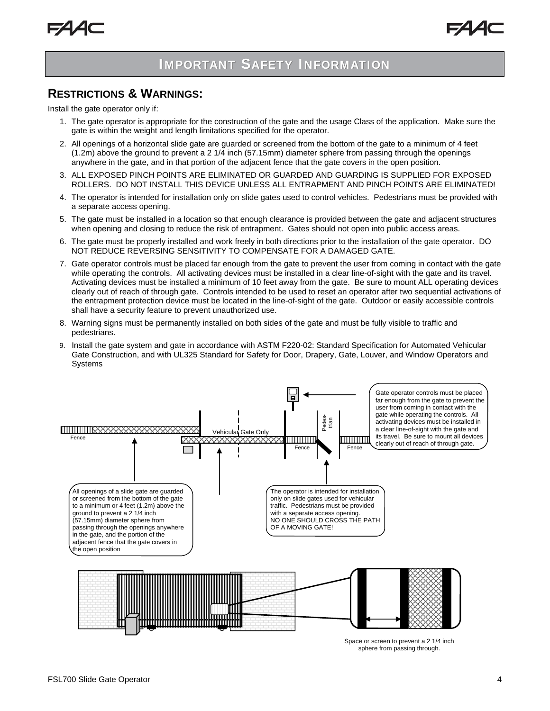### **RESTRICTIONS & WARNINGS:**

Install the gate operator only if:

- 1. The gate operator is appropriate for the construction of the gate and the usage Class of the application. Make sure the gate is within the weight and length limitations specified for the operator.
- 2. All openings of a horizontal slide gate are guarded or screened from the bottom of the gate to a minimum of 4 feet (1.2m) above the ground to prevent a 2 1/4 inch (57.15mm) diameter sphere from passing through the openings anywhere in the gate, and in that portion of the adjacent fence that the gate covers in the open position.
- 3. ALL EXPOSED PINCH POINTS ARE ELIMINATED OR GUARDED AND GUARDING IS SUPPLIED FOR EXPOSED ROLLERS. DO NOT INSTALL THIS DEVICE UNLESS ALL ENTRAPMENT AND PINCH POINTS ARE ELIMINATED!
- 4. The operator is intended for installation only on slide gates used to control vehicles. Pedestrians must be provided with a separate access opening.
- 5. The gate must be installed in a location so that enough clearance is provided between the gate and adjacent structures when opening and closing to reduce the risk of entrapment. Gates should not open into public access areas.
- 6. The gate must be properly installed and work freely in both directions prior to the installation of the gate operator. DO NOT REDUCE REVERSING SENSITIVITY TO COMPENSATE FOR A DAMAGED GATE.
- 7. Gate operator controls must be placed far enough from the gate to prevent the user from coming in contact with the gate while operating the controls. All activating devices must be installed in a clear line-of-sight with the gate and its travel. Activating devices must be installed a minimum of 10 feet away from the gate. Be sure to mount ALL operating devices clearly out of reach of through gate. Controls intended to be used to reset an operator after two sequential activations of the entrapment protection device must be located in the line-of-sight of the gate. Outdoor or easily accessible controls shall have a security feature to prevent unauthorized use.
- 8. Warning signs must be permanently installed on both sides of the gate and must be fully visible to traffic and pedestrians.
- 9. Install the gate system and gate in accordance with ASTM F220-02: Standard Specification for Automated Vehicular Gate Construction, and with UL325 Standard for Safety for Door, Drapery, Gate, Louver, and Window Operators and Systems



Space or screen to prevent a 2 1/4 inch sphere from passing through.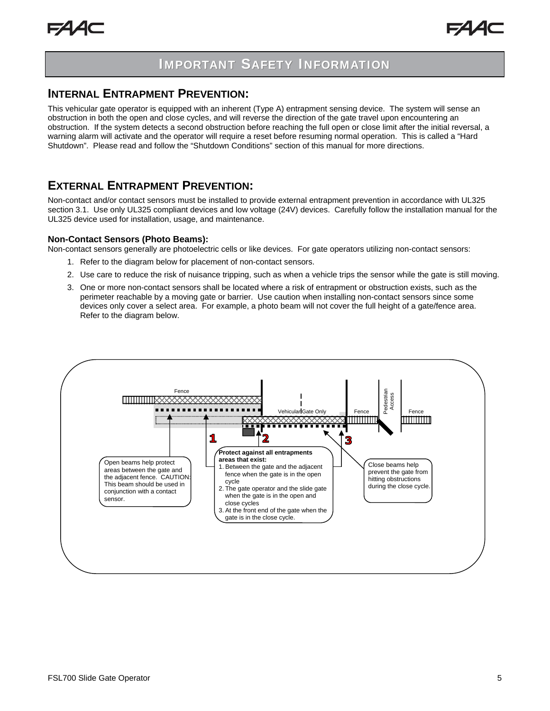### **INTERNAL ENTRAPMENT PREVENTION:**

This vehicular gate operator is equipped with an inherent (Type A) entrapment sensing device. The system will sense an obstruction in both the open and close cycles, and will reverse the direction of the gate travel upon encountering an obstruction. If the system detects a second obstruction before reaching the full open or close limit after the initial reversal, a warning alarm will activate and the operator will require a reset before resuming normal operation. This is called a "Hard Shutdown". Please read and follow the "Shutdown Conditions" section of this manual for more directions.

### **EXTERNAL ENTRAPMENT PREVENTION:**

Non-contact and/or contact sensors must be installed to provide external entrapment prevention in accordance with UL325 section 3.1. Use only UL325 compliant devices and low voltage (24V) devices. Carefully follow the installation manual for the UL325 device used for installation, usage, and maintenance.

#### **Non-Contact Sensors (Photo Beams):**

Non-contact sensors generally are photoelectric cells or like devices. For gate operators utilizing non-contact sensors:

- 1. Refer to the diagram below for placement of non-contact sensors.
- 2. Use care to reduce the risk of nuisance tripping, such as when a vehicle trips the sensor while the gate is still moving.
- 3. One or more non-contact sensors shall be located where a risk of entrapment or obstruction exists, such as the perimeter reachable by a moving gate or barrier. Use caution when installing non-contact sensors since some devices only cover a select area. For example, a photo beam will not cover the full height of a gate/fence area. Refer to the diagram below.

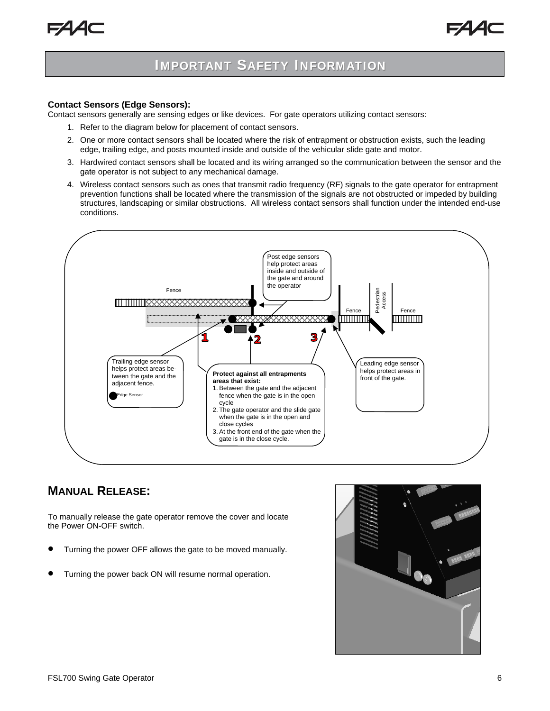#### **Contact Sensors (Edge Sensors):**

Contact sensors generally are sensing edges or like devices. For gate operators utilizing contact sensors:

- 1. Refer to the diagram below for placement of contact sensors.
- 2. One or more contact sensors shall be located where the risk of entrapment or obstruction exists, such the leading edge, trailing edge, and posts mounted inside and outside of the vehicular slide gate and motor.
- 3. Hardwired contact sensors shall be located and its wiring arranged so the communication between the sensor and the gate operator is not subject to any mechanical damage.
- 4. Wireless contact sensors such as ones that transmit radio frequency (RF) signals to the gate operator for entrapment prevention functions shall be located where the transmission of the signals are not obstructed or impeded by building structures, landscaping or similar obstructions. All wireless contact sensors shall function under the intended end-use conditions.



### **MANUAL RELEASE:**

To manually release the gate operator remove the cover and locate the Power ON-OFF switch.

- Turning the power OFF allows the gate to be moved manually.
- Turning the power back ON will resume normal operation.

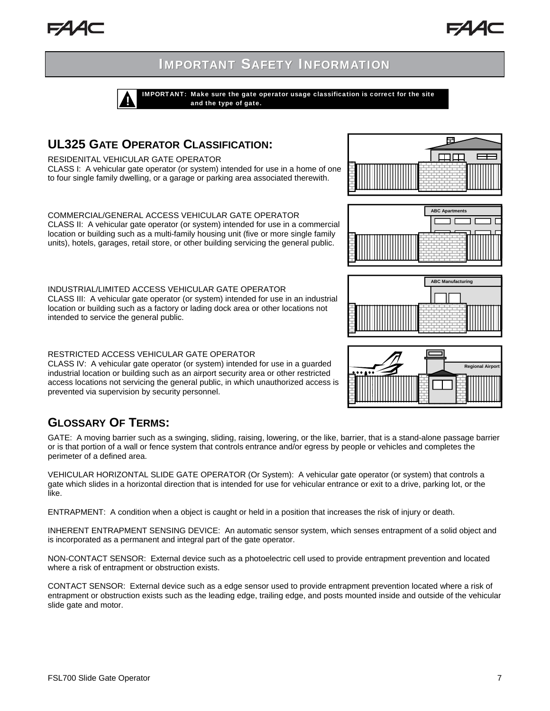IMPORTANT: Make sure the gate operator usage classification is correct for the site and the type of gate.

## **UL325 GATE OPERATOR CLASSIFICATION:**

RESIDENITAL VEHICULAR GATE OPERATOR

CLASS I: A vehicular gate operator (or system) intended for use in a home of one to four single family dwelling, or a garage or parking area associated therewith.

COMMERCIAL/GENERAL ACCESS VEHICULAR GATE OPERATOR CLASS II: A vehicular gate operator (or system) intended for use in a commercial location or building such as a multi-family housing unit (five or more single family units), hotels, garages, retail store, or other building servicing the general public.

INDUSTRIAL/LIMITED ACCESS VEHICULAR GATE OPERATOR CLASS III: A vehicular gate operator (or system) intended for use in an industrial location or building such as a factory or lading dock area or other locations not intended to service the general public.

#### RESTRICTED ACCESS VEHICULAR GATE OPERATOR

CLASS IV: A vehicular gate operator (or system) intended for use in a guarded industrial location or building such as an airport security area or other restricted access locations not servicing the general public, in which unauthorized access is prevented via supervision by security personnel.

## **GLOSSARY OF TERMS:**

GATE: A moving barrier such as a swinging, sliding, raising, lowering, or the like, barrier, that is a stand-alone passage barrier or is that portion of a wall or fence system that controls entrance and/or egress by people or vehicles and completes the perimeter of a defined area.

VEHICULAR HORIZONTAL SLIDE GATE OPERATOR (Or System): A vehicular gate operator (or system) that controls a gate which slides in a horizontal direction that is intended for use for vehicular entrance or exit to a drive, parking lot, or the like.

ENTRAPMENT: A condition when a object is caught or held in a position that increases the risk of injury or death.

INHERENT ENTRAPMENT SENSING DEVICE: An automatic sensor system, which senses entrapment of a solid object and is incorporated as a permanent and integral part of the gate operator.

NON-CONTACT SENSOR: External device such as a photoelectric cell used to provide entrapment prevention and located where a risk of entrapment or obstruction exists.

CONTACT SENSOR: External device such as a edge sensor used to provide entrapment prevention located where a risk of entrapment or obstruction exists such as the leading edge, trailing edge, and posts mounted inside and outside of the vehicular slide gate and motor.







**ABC Manufacturing** 

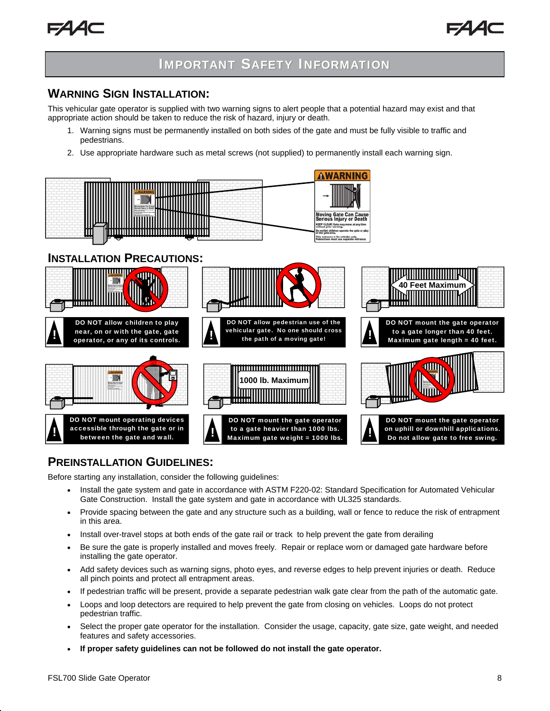



### **WARNING SIGN INSTALLATION:**

This vehicular gate operator is supplied with two warning signs to alert people that a potential hazard may exist and that appropriate action should be taken to reduce the risk of hazard, injury or death.

- 1. Warning signs must be permanently installed on both sides of the gate and must be fully visible to traffic and pedestrians.
- 2. Use appropriate hardware such as metal screws (not supplied) to permanently install each warning sign.



### **PREINSTALLATION GUIDELINES:**

Before starting any installation, consider the following guidelines:

- Install the gate system and gate in accordance with ASTM F220-02: Standard Specification for Automated Vehicular Gate Construction. Install the gate system and gate in accordance with UL325 standards.
- Provide spacing between the gate and any structure such as a building, wall or fence to reduce the risk of entrapment in this area.
- Install over-travel stops at both ends of the gate rail or track to help prevent the gate from derailing
- Be sure the gate is properly installed and moves freely. Repair or replace worn or damaged gate hardware before installing the gate operator.
- Add safety devices such as warning signs, photo eyes, and reverse edges to help prevent injuries or death. Reduce all pinch points and protect all entrapment areas.
- If pedestrian traffic will be present, provide a separate pedestrian walk gate clear from the path of the automatic gate.
- Loops and loop detectors are required to help prevent the gate from closing on vehicles. Loops do not protect pedestrian traffic.
- Select the proper gate operator for the installation. Consider the usage, capacity, gate size, gate weight, and needed features and safety accessories.
- **If proper safety guidelines can not be followed do not install the gate operator.**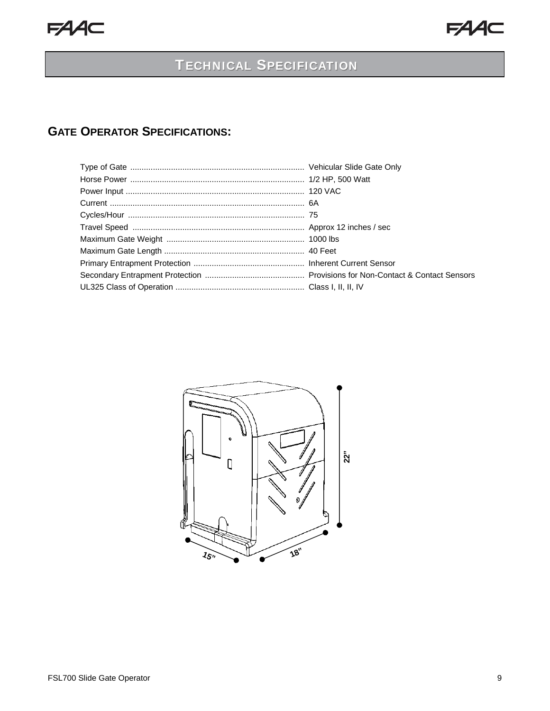## **TECHNICAL SPECIFICATION**

## **GATE OPERATOR SPECIFICATIONS:**

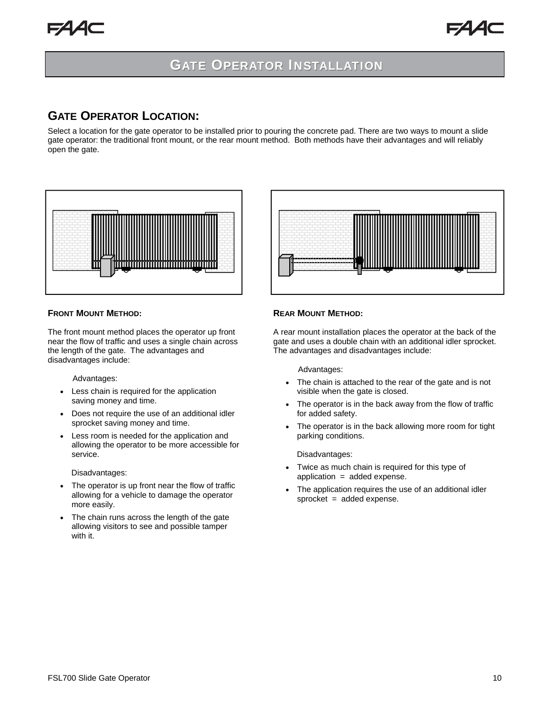### **GATE OPERATOR LOCATION:**

Select a location for the gate operator to be installed prior to pouring the concrete pad. There are two ways to mount a slide gate operator: the traditional front mount, or the rear mount method. Both methods have their advantages and will reliably open the gate.

![](_page_9_Figure_5.jpeg)

#### **FRONT MOUNT METHOD:**

The front mount method places the operator up front near the flow of traffic and uses a single chain across the length of the gate. The advantages and disadvantages include:

Advantages:

- Less chain is required for the application saving money and time.
- Does not require the use of an additional idler sprocket saving money and time.
- Less room is needed for the application and allowing the operator to be more accessible for service.

Disadvantages:

- The operator is up front near the flow of traffic allowing for a vehicle to damage the operator more easily.
- The chain runs across the length of the gate allowing visitors to see and possible tamper with it.

![](_page_9_Figure_15.jpeg)

#### **REAR MOUNT METHOD:**

A rear mount installation places the operator at the back of the gate and uses a double chain with an additional idler sprocket. The advantages and disadvantages include:

Advantages:

- The chain is attached to the rear of the gate and is not visible when the gate is closed.
- The operator is in the back away from the flow of traffic for added safety.
- The operator is in the back allowing more room for tight parking conditions.

Disadvantages:

- Twice as much chain is required for this type of application = added expense.
- The application requires the use of an additional idler sprocket = added expense.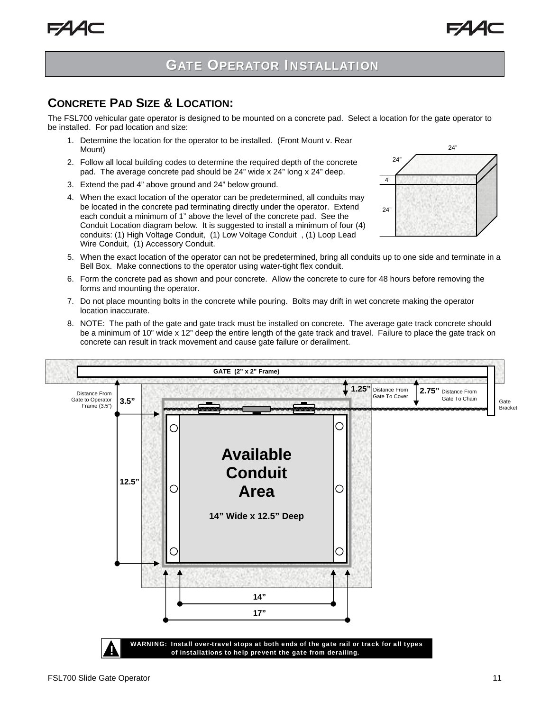### **CONCRETE PAD SIZE & LOCATION:**

The FSL700 vehicular gate operator is designed to be mounted on a concrete pad. Select a location for the gate operator to be installed. For pad location and size:

- 1. Determine the location for the operator to be installed. (Front Mount v. Rear Mount)
- 2. Follow all local building codes to determine the required depth of the concrete pad. The average concrete pad should be 24" wide x 24" long x 24" deep.
- 3. Extend the pad 4" above ground and 24" below ground.
- 4. When the exact location of the operator can be predetermined, all conduits may be located in the concrete pad terminating directly under the operator. Extend each conduit a minimum of 1" above the level of the concrete pad. See the Conduit Location diagram below. It is suggested to install a minimum of four (4) conduits: (1) High Voltage Conduit, (1) Low Voltage Conduit , (1) Loop Lead Wire Conduit, (1) Accessory Conduit.

![](_page_10_Figure_9.jpeg)

- 5. When the exact location of the operator can not be predetermined, bring all conduits up to one side and terminate in a Bell Box. Make connections to the operator using water-tight flex conduit.
- 6. Form the concrete pad as shown and pour concrete. Allow the concrete to cure for 48 hours before removing the forms and mounting the operator.
- 7. Do not place mounting bolts in the concrete while pouring. Bolts may drift in wet concrete making the operator location inaccurate.
- 8. NOTE: The path of the gate and gate track must be installed on concrete. The average gate track concrete should be a minimum of 10" wide x 12" deep the entire length of the gate track and travel. Failure to place the gate track on concrete can result in track movement and cause gate failure or derailment.

![](_page_10_Figure_14.jpeg)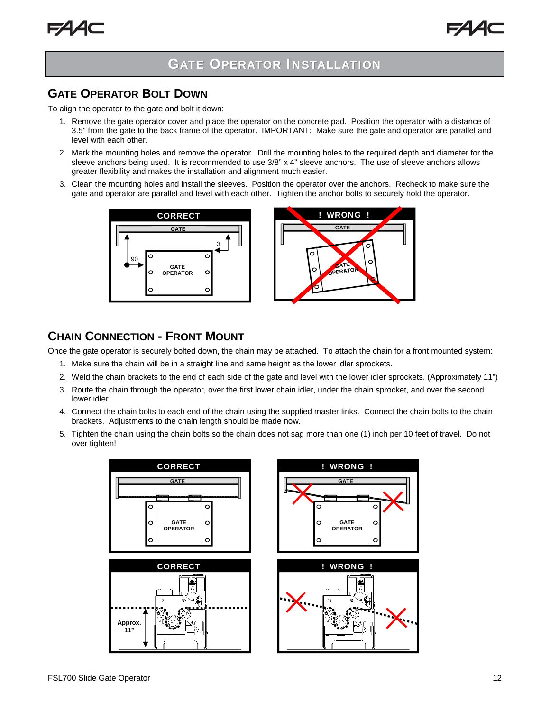### **GATE OPERATOR BOLT DOWN**

To align the operator to the gate and bolt it down:

- 1. Remove the gate operator cover and place the operator on the concrete pad. Position the operator with a distance of 3.5" from the gate to the back frame of the operator. IMPORTANT: Make sure the gate and operator are parallel and level with each other.
- 2. Mark the mounting holes and remove the operator. Drill the mounting holes to the required depth and diameter for the sleeve anchors being used. It is recommended to use 3/8" x 4" sleeve anchors. The use of sleeve anchors allows greater flexibility and makes the installation and alignment much easier.
- 3. Clean the mounting holes and install the sleeves. Position the operator over the anchors. Recheck to make sure the gate and operator are parallel and level with each other. Tighten the anchor bolts to securely hold the operator.

![](_page_11_Figure_8.jpeg)

![](_page_11_Figure_9.jpeg)

## **CHAIN CONNECTION - FRONT MOUNT**

Once the gate operator is securely bolted down, the chain may be attached. To attach the chain for a front mounted system:

- 1. Make sure the chain will be in a straight line and same height as the lower idler sprockets.
- 2. Weld the chain brackets to the end of each side of the gate and level with the lower idler sprockets. (Approximately 11")
- 3. Route the chain through the operator, over the first lower chain idler, under the chain sprocket, and over the second lower idler.
- 4. Connect the chain bolts to each end of the chain using the supplied master links. Connect the chain bolts to the chain brackets. Adjustments to the chain length should be made now.
- 5. Tighten the chain using the chain bolts so the chain does not sag more than one (1) inch per 10 feet of travel. Do not over tighten!

![](_page_11_Figure_17.jpeg)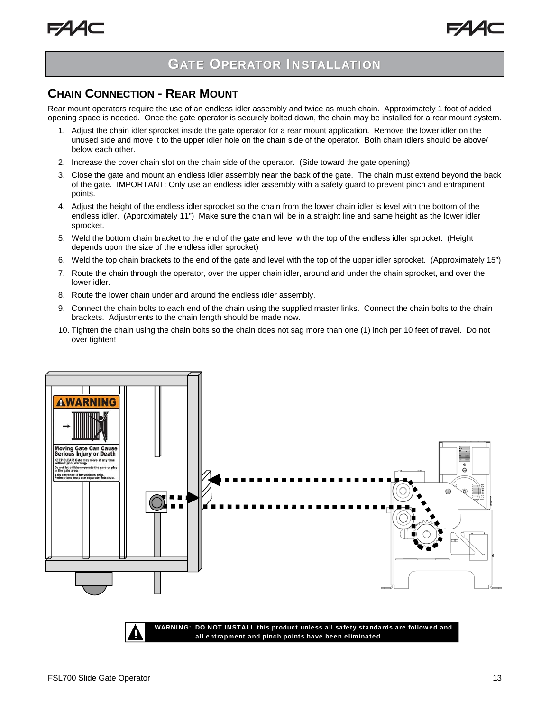### **CHAIN CONNECTION - REAR MOUNT**

Rear mount operators require the use of an endless idler assembly and twice as much chain. Approximately 1 foot of added opening space is needed. Once the gate operator is securely bolted down, the chain may be installed for a rear mount system.

- 1. Adjust the chain idler sprocket inside the gate operator for a rear mount application. Remove the lower idler on the unused side and move it to the upper idler hole on the chain side of the operator. Both chain idlers should be above/ below each other.
- 2. Increase the cover chain slot on the chain side of the operator. (Side toward the gate opening)
- 3. Close the gate and mount an endless idler assembly near the back of the gate. The chain must extend beyond the back of the gate. IMPORTANT: Only use an endless idler assembly with a safety guard to prevent pinch and entrapment points.
- 4. Adjust the height of the endless idler sprocket so the chain from the lower chain idler is level with the bottom of the endless idler. (Approximately 11") Make sure the chain will be in a straight line and same height as the lower idler sprocket.
- 5. Weld the bottom chain bracket to the end of the gate and level with the top of the endless idler sprocket. (Height depends upon the size of the endless idler sprocket)
- 6. Weld the top chain brackets to the end of the gate and level with the top of the upper idler sprocket. (Approximately 15")
- 7. Route the chain through the operator, over the upper chain idler, around and under the chain sprocket, and over the lower idler.
- 8. Route the lower chain under and around the endless idler assembly.
- 9. Connect the chain bolts to each end of the chain using the supplied master links. Connect the chain bolts to the chain brackets. Adjustments to the chain length should be made now.
- 10. Tighten the chain using the chain bolts so the chain does not sag more than one (1) inch per 10 feet of travel. Do not over tighten!

![](_page_12_Figure_15.jpeg)

WARNING: DO NOT INSTALL this product unless all safety standards are followed and<br>all entrapment and pinch points have been eliminated.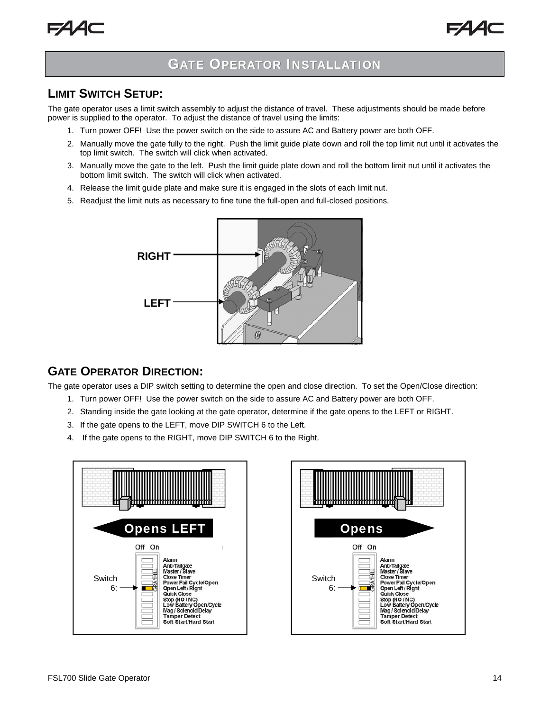![](_page_13_Picture_1.jpeg)

### **LIMIT SWITCH SETUP:**

The gate operator uses a limit switch assembly to adjust the distance of travel. These adjustments should be made before power is supplied to the operator. To adjust the distance of travel using the limits:

- 1. Turn power OFF! Use the power switch on the side to assure AC and Battery power are both OFF.
- 2. Manually move the gate fully to the right. Push the limit guide plate down and roll the top limit nut until it activates the top limit switch. The switch will click when activated.
- 3. Manually move the gate to the left. Push the limit guide plate down and roll the bottom limit nut until it activates the bottom limit switch. The switch will click when activated.
- 4. Release the limit guide plate and make sure it is engaged in the slots of each limit nut.
- 5. Readjust the limit nuts as necessary to fine tune the full-open and full-closed positions.

![](_page_13_Picture_10.jpeg)

### **GATE OPERATOR DIRECTION:**

The gate operator uses a DIP switch setting to determine the open and close direction. To set the Open/Close direction:

- 1. Turn power OFF! Use the power switch on the side to assure AC and Battery power are both OFF.
- 2. Standing inside the gate looking at the gate operator, determine if the gate opens to the LEFT or RIGHT.
- 3. If the gate opens to the LEFT, move DIP SWITCH 6 to the Left.
- 4. If the gate opens to the RIGHT, move DIP SWITCH 6 to the Right.

![](_page_13_Figure_17.jpeg)

![](_page_13_Figure_18.jpeg)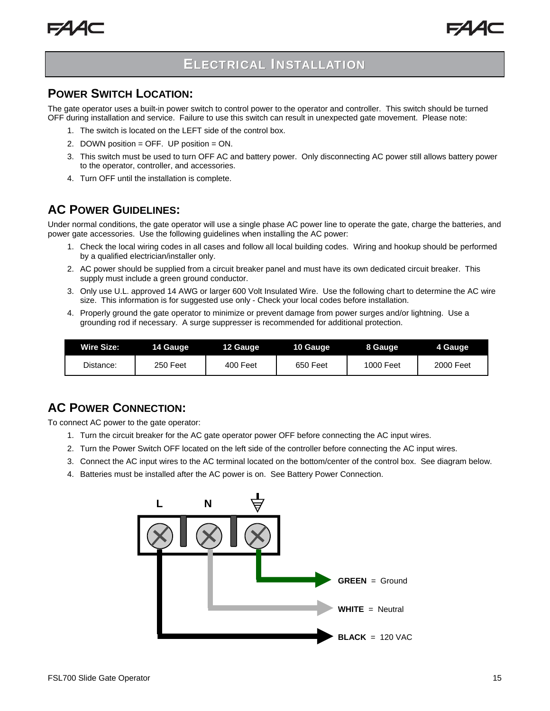![](_page_14_Picture_1.jpeg)

## **ELECTRICAL INSTALLATION**

### **POWER SWITCH LOCATION:**

The gate operator uses a built-in power switch to control power to the operator and controller. This switch should be turned OFF during installation and service. Failure to use this switch can result in unexpected gate movement. Please note:

- 1. The switch is located on the LEFT side of the control box.
- 2. DOWN position = OFF. UP position = ON.
- 3. This switch must be used to turn OFF AC and battery power. Only disconnecting AC power still allows battery power to the operator, controller, and accessories.
- 4. Turn OFF until the installation is complete.

### **AC POWER GUIDELINES:**

Under normal conditions, the gate operator will use a single phase AC power line to operate the gate, charge the batteries, and power gate accessories. Use the following guidelines when installing the AC power:

- 1. Check the local wiring codes in all cases and follow all local building codes. Wiring and hookup should be performed by a qualified electrician/installer only.
- 2. AC power should be supplied from a circuit breaker panel and must have its own dedicated circuit breaker. This supply must include a green ground conductor.
- 3. Only use U.L. approved 14 AWG or larger 600 Volt Insulated Wire. Use the following chart to determine the AC wire size. This information is for suggested use only - Check your local codes before installation.
- 4. Properly ground the gate operator to minimize or prevent damage from power surges and/or lightning. Use a grounding rod if necessary. A surge suppresser is recommended for additional protection.

| <b>Wire Size:</b> | 14 Gauge | 12 Gauge | 10 Gauge | 8 Gauge   | 4 Gauge   |
|-------------------|----------|----------|----------|-----------|-----------|
| Distance:         | 250 Feet | 400 Feet | 650 Feet | 1000 Feet | 2000 Feet |

## **AC POWER CONNECTION:**

To connect AC power to the gate operator:

- 1. Turn the circuit breaker for the AC gate operator power OFF before connecting the AC input wires.
- 2. Turn the Power Switch OFF located on the left side of the controller before connecting the AC input wires.
- 3. Connect the AC input wires to the AC terminal located on the bottom/center of the control box. See diagram below.
- 4. Batteries must be installed after the AC power is on. See Battery Power Connection.

![](_page_14_Figure_22.jpeg)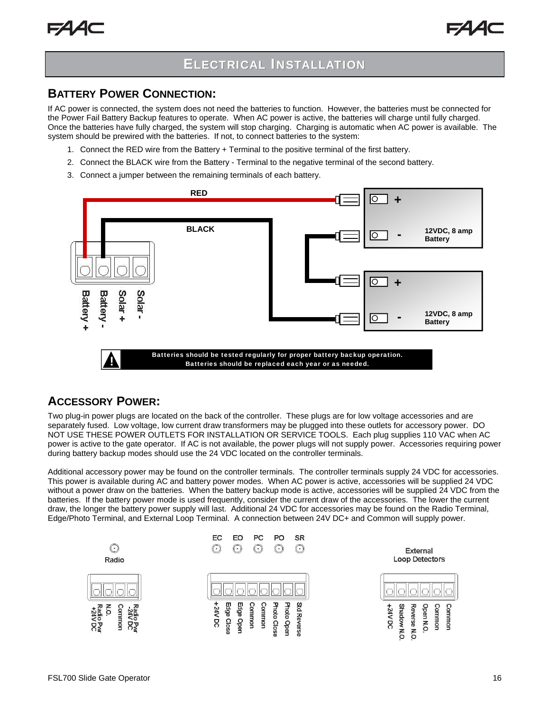## **ELECTRICAL INSTALLATION**

### **BATTERY POWER CONNECTION:**

If AC power is connected, the system does not need the batteries to function. However, the batteries must be connected for the Power Fail Battery Backup features to operate. When AC power is active, the batteries will charge until fully charged. Once the batteries have fully charged, the system will stop charging. Charging is automatic when AC power is available. The system should be prewired with the batteries. If not, to connect batteries to the system:

- 1. Connect the RED wire from the Battery + Terminal to the positive terminal of the first battery.
- 2. Connect the BLACK wire from the Battery Terminal to the negative terminal of the second battery.
- 3. Connect a jumper between the remaining terminals of each battery.

![](_page_15_Figure_8.jpeg)

### **ACCESSORY POWER:**

Two plug-in power plugs are located on the back of the controller. These plugs are for low voltage accessories and are separately fused. Low voltage, low current draw transformers may be plugged into these outlets for accessory power. DO NOT USE THESE POWER OUTLETS FOR INSTALLATION OR SERVICE TOOLS. Each plug supplies 110 VAC when AC power is active to the gate operator. If AC is not available, the power plugs will not supply power. Accessories requiring power during battery backup modes should use the 24 VDC located on the controller terminals.

Additional accessory power may be found on the controller terminals. The controller terminals supply 24 VDC for accessories. This power is available during AC and battery power modes. When AC power is active, accessories will be supplied 24 VDC without a power draw on the batteries. When the battery backup mode is active, accessories will be supplied 24 VDC from the batteries. If the battery power mode is used frequently, consider the current draw of the accessories. The lower the current draw, the longer the battery power supply will last. Additional 24 VDC for accessories may be found on the Radio Terminal, Edge/Photo Terminal, and External Loop Terminal. A connection between 24V DC+ and Common will supply power.

![](_page_15_Figure_12.jpeg)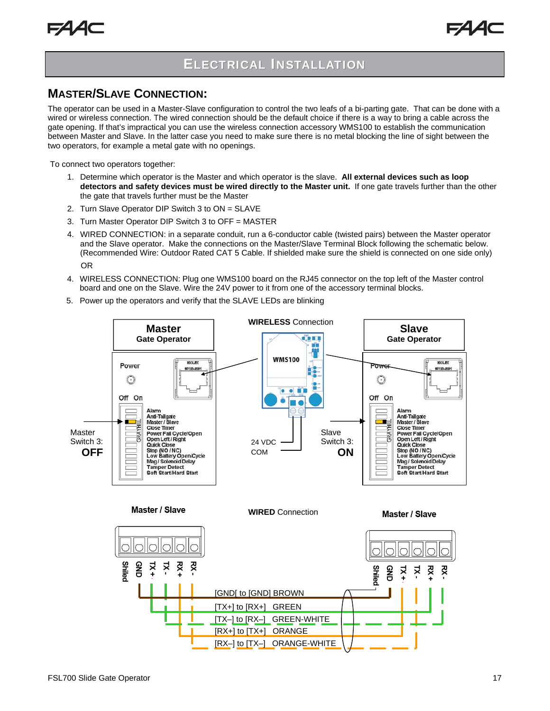## **ELECTRICAL INSTALLATION**

### **MASTER/SLAVE CONNECTION:**

The operator can be used in a Master-Slave configuration to control the two leafs of a bi-parting gate. That can be done with a wired or wireless connection. The wired connection should be the default choice if there is a way to bring a cable across the gate opening. If that's impractical you can use the wireless connection accessory WMS100 to establish the communication between Master and Slave. In the latter case you need to make sure there is no metal blocking the line of sight between the two operators, for example a metal gate with no openings.

To connect two operators together:

- 1. Determine which operator is the Master and which operator is the slave. **All external devices such as loop detectors and safety devices must be wired directly to the Master unit.** If one gate travels further than the other the gate that travels further must be the Master
- 2. Turn Slave Operator DIP Switch 3 to ON = SLAVE
- 3. Turn Master Operator DIP Switch 3 to OFF = MASTER
- 4. WIRED CONNECTION: in a separate conduit, run a 6-conductor cable (twisted pairs) between the Master operator and the Slave operator. Make the connections on the Master/Slave Terminal Block following the schematic below. (Recommended Wire: Outdoor Rated CAT 5 Cable. If shielded make sure the shield is connected on one side only) OR
- 4. WIRELESS CONNECTION: Plug one WMS100 board on the RJ45 connector on the top left of the Master control board and one on the Slave. Wire the 24V power to it from one of the accessory terminal blocks.
- 5. Power up the operators and verify that the SLAVE LEDs are blinking

![](_page_16_Figure_12.jpeg)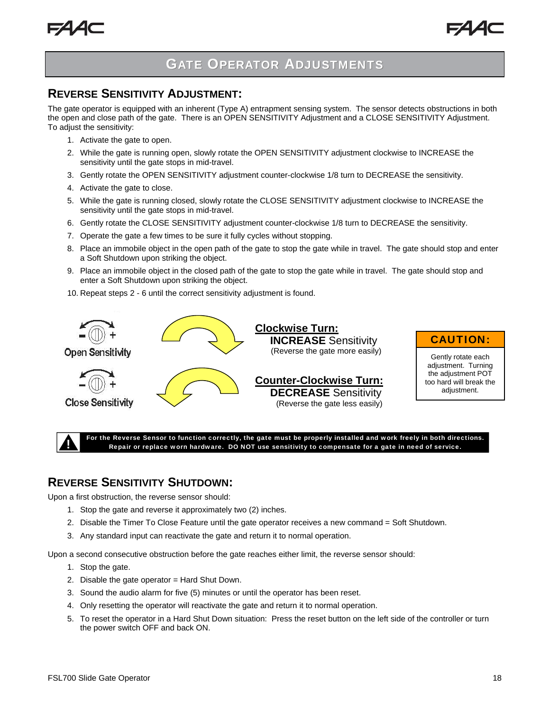![](_page_17_Picture_1.jpeg)

## **GATE OPERATOR ADJUSTMENTS**

### **REVERSE SENSITIVITY ADJUSTMENT:**

The gate operator is equipped with an inherent (Type A) entrapment sensing system. The sensor detects obstructions in both the open and close path of the gate. There is an OPEN SENSITIVITY Adjustment and a CLOSE SENSITIVITY Adjustment. To adjust the sensitivity:

- 1. Activate the gate to open.
- 2. While the gate is running open, slowly rotate the OPEN SENSITIVITY adjustment clockwise to INCREASE the sensitivity until the gate stops in mid-travel.
- 3. Gently rotate the OPEN SENSITIVITY adjustment counter-clockwise 1/8 turn to DECREASE the sensitivity.
- 4. Activate the gate to close.
- 5. While the gate is running closed, slowly rotate the CLOSE SENSITIVITY adjustment clockwise to INCREASE the sensitivity until the gate stops in mid-travel.
- 6. Gently rotate the CLOSE SENSITIVITY adjustment counter-clockwise 1/8 turn to DECREASE the sensitivity.
- 7. Operate the gate a few times to be sure it fully cycles without stopping.
- 8. Place an immobile object in the open path of the gate to stop the gate while in travel. The gate should stop and enter a Soft Shutdown upon striking the object.
- 9. Place an immobile object in the closed path of the gate to stop the gate while in travel. The gate should stop and enter a Soft Shutdown upon striking the object.
- 10. Repeat steps 2 6 until the correct sensitivity adjustment is found.

![](_page_17_Picture_15.jpeg)

For the Reverse Sensor to function correctly, the gate must be properly installed and work freely in both directions.<br> ! Repair or replace worn hardware. DO NOT use sensitivity to compensate for a gate in need of service.

### **REVERSE SENSITIVITY SHUTDOWN:**

Upon a first obstruction, the reverse sensor should:

- 1. Stop the gate and reverse it approximately two (2) inches.
- 2. Disable the Timer To Close Feature until the gate operator receives a new command = Soft Shutdown.
- 3. Any standard input can reactivate the gate and return it to normal operation.

Upon a second consecutive obstruction before the gate reaches either limit, the reverse sensor should:

- 1. Stop the gate.
- 2. Disable the gate operator = Hard Shut Down.
- 3. Sound the audio alarm for five (5) minutes or until the operator has been reset.
- 4. Only resetting the operator will reactivate the gate and return it to normal operation.
- 5. To reset the operator in a Hard Shut Down situation: Press the reset button on the left side of the controller or turn the power switch OFF and back ON.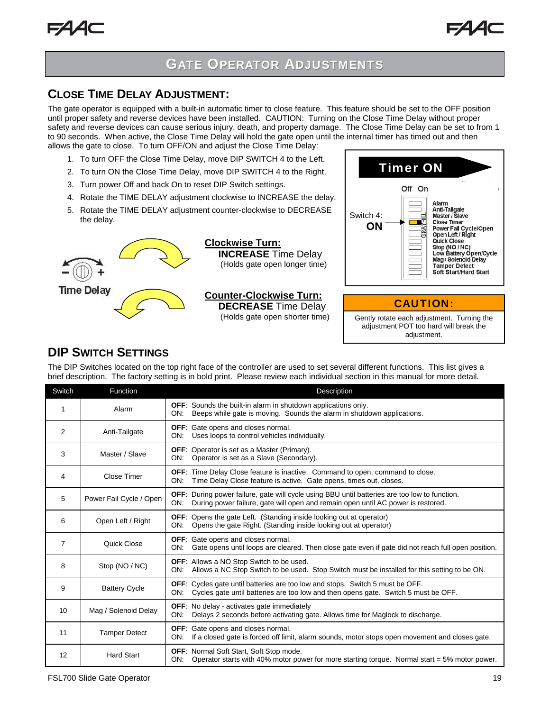## **GATE OPERATOR ADJUSTMENTS**

### **CLOSE TIME DELAY ADJUSTMENT:**

The gate operator is equipped with a built-in automatic timer to close feature. This feature should be set to the OFF position until proper safety and reverse devices have been installed. CAUTION: Turning on the Close Time Delay without proper safety and reverse devices can cause serious injury, death, and property damage. The Close Time Delay can be set to from 1 to 90 seconds. When active, the Close Time Delay will hold the gate open until the internal timer has timed out and then allows the gate to close. To turn OFF/ON and adjust the Close Time Delay:

- 1. To turn OFF the Close Time Delay, move DIP SWITCH 4 to the Left.
- 2. To turn ON the Close Time Delay, move DIP SWITCH 4 to the Right.
- 3. Turn power Off and back On to reset DIP Switch settings.
- 4. Rotate the TIME DELAY adjustment clockwise to INCREASE the delay.
- 5. Rotate the TIME DELAY adjustment counter-clockwise to DECREASE the delay.

![](_page_18_Picture_9.jpeg)

**Clockwise Turn: INCREASE** Time Delay (Holds gate open longer time)

## **Counter-Clockwise Turn: DECREASE** Time Delay

![](_page_18_Picture_12.jpeg)

CAUTION:

(Holds gate open shorter time) Gently rotate each adjustment. Turning the adjustment POT too hard will break the adjustment.

## **DIP SWITCH SETTINGS**

The DIP Switches located on the top right face of the controller are used to set several different functions. This list gives a brief description. The factory setting is in bold print. Please review each individual section in this manual for more detail.

| Switch         | Function                | Description                                                                                                                                                                                     |
|----------------|-------------------------|-------------------------------------------------------------------------------------------------------------------------------------------------------------------------------------------------|
| 1              | Alarm                   | <b>OFF:</b> Sounds the built-in alarm in shutdown applications only.<br>Beeps while gate is moving. Sounds the alarm in shutdown applications.<br>ON:                                           |
| 2              | Anti-Tailgate           | <b>OFF:</b> Gate opens and closes normal.<br>Uses loops to control vehicles individually.<br>ON:                                                                                                |
| 3              | Master / Slave          | <b>OFF:</b> Operator is set as a Master (Primary).<br>Operator is set as a Slave (Secondary).<br>ON:                                                                                            |
| 4              | <b>Close Timer</b>      | OFF: Time Delay Close feature is inactive. Command to open, command to close.<br>ON:<br>Time Delay Close feature is active. Gate opens, times out, closes.                                      |
| 5              | Power Fail Cycle / Open | <b>OFF:</b> During power failure, gate will cycle using BBU until batteries are too low to function.<br>ON:<br>During power failure, gate will open and remain open until AC power is restored. |
| 6              | Open Left / Right       | <b>OFF:</b> Opens the gate Left. (Standing inside looking out at operator)<br>Opens the gate Right. (Standing inside looking out at operator)<br>ON:                                            |
| $\overline{7}$ | Quick Close             | <b>OFF:</b> Gate opens and closes normal.<br>Gate opens until loops are cleared. Then close gate even if gate did not reach full open position.<br>ON:                                          |
| 8              | Stop (NO / NC)          | <b>OFF:</b> Allows a NO Stop Switch to be used.<br>ON: Allows a NC Stop Switch to be used. Stop Switch must be installed for this setting to be ON.                                             |
| 9              | <b>Battery Cycle</b>    | <b>OFF:</b> Cycles gate until batteries are too low and stops. Switch 5 must be OFF.<br>Cycles gate until batteries are too low and then opens gate. Switch 5 must be OFF.<br>ON:               |
| 10             | Mag / Solenoid Delay    | <b>OFF:</b> No delay - activates gate immediately<br>Delays 2 seconds before activating gate. Allows time for Maglock to discharge.<br>ON:                                                      |
| 11             | <b>Tamper Detect</b>    | <b>OFF:</b> Gate opens and closes normal.<br>If a closed gate is forced off limit, alarm sounds, motor stops open movement and closes gate.<br>ON:                                              |
| 12             | <b>Hard Start</b>       | <b>OFF:</b> Normal Soft Start, Soft Stop mode.<br>Operator starts with 40% motor power for more starting torque. Normal start = $5\%$ motor power.<br>ON:                                       |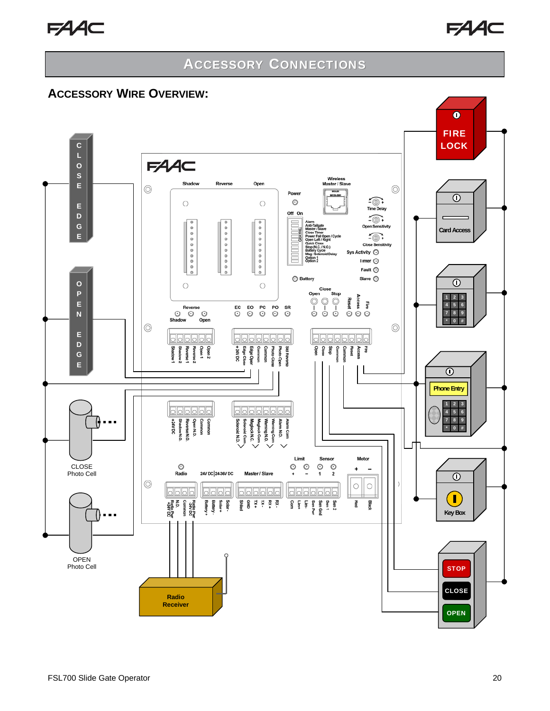![](_page_19_Picture_1.jpeg)

### **ACCESSORY WIRE OVERVIEW:**

![](_page_19_Figure_4.jpeg)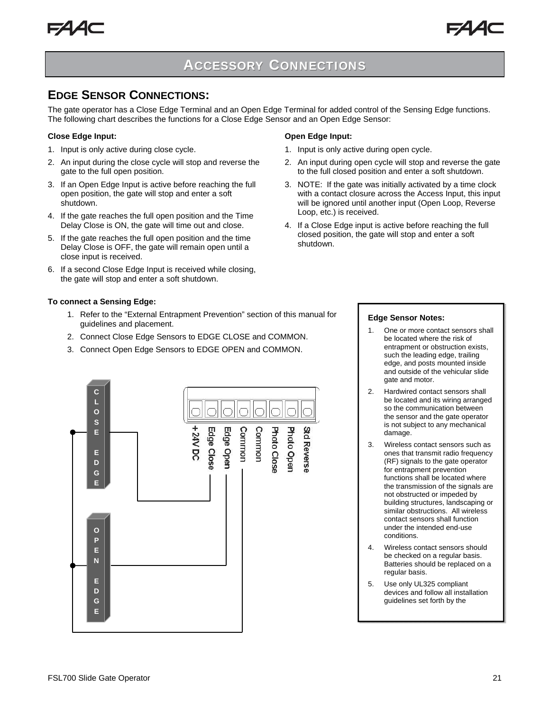### **EDGE SENSOR CONNECTIONS:**

The gate operator has a Close Edge Terminal and an Open Edge Terminal for added control of the Sensing Edge functions. The following chart describes the functions for a Close Edge Sensor and an Open Edge Sensor:

#### **Close Edge Input:**

- 1. Input is only active during close cycle.
- 2. An input during the close cycle will stop and reverse the gate to the full open position.
- 3. If an Open Edge Input is active before reaching the full open position, the gate will stop and enter a soft shutdown.
- 4. If the gate reaches the full open position and the Time Delay Close is ON, the gate will time out and close.
- 5. If the gate reaches the full open position and the time Delay Close is OFF, the gate will remain open until a close input is received.
- 6. If a second Close Edge Input is received while closing, the gate will stop and enter a soft shutdown.

#### **To connect a Sensing Edge:**

- 1. Refer to the "External Entrapment Prevention" section of this manual for guidelines and placement.
- 2. Connect Close Edge Sensors to EDGE CLOSE and COMMON.
- 3. Connect Open Edge Sensors to EDGE OPEN and COMMON.

![](_page_20_Figure_16.jpeg)

- 1. Input is only active during open cycle.
- 2. An input during open cycle will stop and reverse the gate to the full closed position and enter a soft shutdown.
- 3. NOTE: If the gate was initially activated by a time clock with a contact closure across the Access Input, this input will be ignored until another input (Open Loop, Reverse Loop, etc.) is received.
- 4. If a Close Edge input is active before reaching the full closed position, the gate will stop and enter a soft shutdown.

![](_page_20_Figure_21.jpeg)

#### **Edge Sensor Notes:**

- 1. One or more contact sensors shall be located where the risk of entrapment or obstruction exists, such the leading edge, trailing edge, and posts mounted inside and outside of the vehicular slide gate and motor.
- 2. Hardwired contact sensors shall be located and its wiring arranged so the communication between the sensor and the gate operator is not subject to any mechanical damage.
- 3. Wireless contact sensors such as ones that transmit radio frequency (RF) signals to the gate operator for entrapment prevention functions shall be located where the transmission of the signals are not obstructed or impeded by building structures, landscaping or similar obstructions. All wireless contact sensors shall function under the intended end-use conditions.
- 4. Wireless contact sensors should be checked on a regular basis. Batteries should be replaced on a regular basis.
- 5. Use only UL325 compliant devices and follow all installation guidelines set forth by the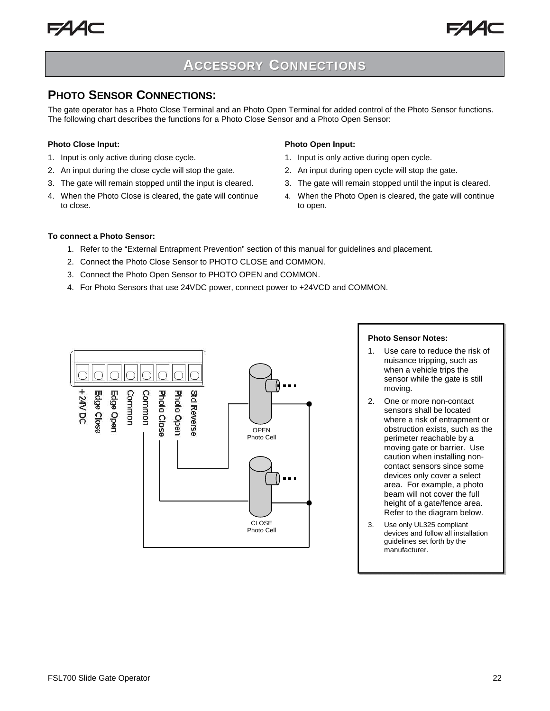![](_page_21_Picture_1.jpeg)

### **PHOTO SENSOR CONNECTIONS:**

The gate operator has a Photo Close Terminal and an Photo Open Terminal for added control of the Photo Sensor functions. The following chart describes the functions for a Photo Close Sensor and a Photo Open Sensor:

#### **Photo Close Input:**

- 1. Input is only active during close cycle.
- 2. An input during the close cycle will stop the gate.
- 3. The gate will remain stopped until the input is cleared.
- 4. When the Photo Close is cleared, the gate will continue to close.

#### **Photo Open Input:**

- 1. Input is only active during open cycle.
- 2. An input during open cycle will stop the gate.
- 3. The gate will remain stopped until the input is cleared.
- 4. When the Photo Open is cleared, the gate will continue to open.

#### **To connect a Photo Sensor:**

- 1. Refer to the "External Entrapment Prevention" section of this manual for guidelines and placement.
- 2. Connect the Photo Close Sensor to PHOTO CLOSE and COMMON.
- 3. Connect the Photo Open Sensor to PHOTO OPEN and COMMON.
- 4. For Photo Sensors that use 24VDC power, connect power to +24VCD and COMMON.

![](_page_21_Figure_20.jpeg)

#### **Photo Sensor Notes:**

- 1. Use care to reduce the risk of nuisance tripping, such as when a vehicle trips the sensor while the gate is still moving.
- 2. One or more non-contact sensors shall be located where a risk of entrapment or obstruction exists, such as the perimeter reachable by a moving gate or barrier. Use caution when installing noncontact sensors since some devices only cover a select area. For example, a photo beam will not cover the full height of a gate/fence area. Refer to the diagram below.
- 3. Use only UL325 compliant devices and follow all installation guidelines set forth by the manufacturer.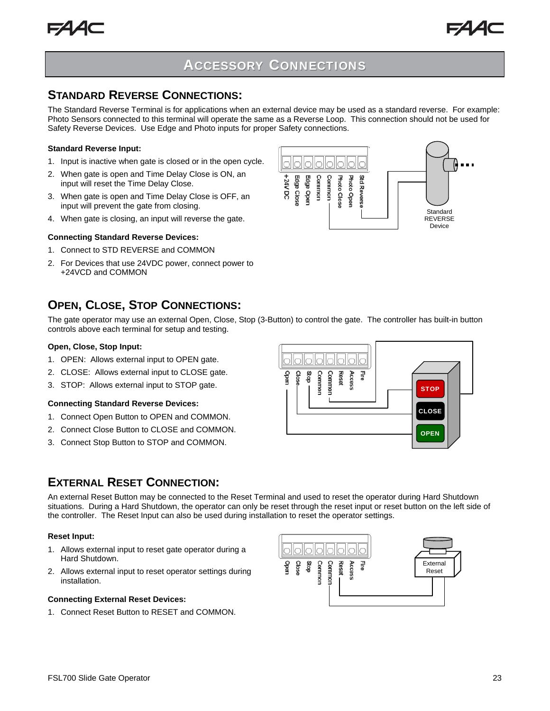![](_page_22_Picture_1.jpeg)

. . .

**Standard** REVERSE Device

## **ACCESSORY CONNECTIONS**

### **STANDARD REVERSE CONNECTIONS:**

The Standard Reverse Terminal is for applications when an external device may be used as a standard reverse. For example: Photo Sensors connected to this terminal will operate the same as a Reverse Loop. This connection should not be used for Safety Reverse Devices. Use Edge and Photo inputs for proper Safety connections.

#### **Standard Reverse Input:**

- 1. Input is inactive when gate is closed or in the open cycle.
- 2. When gate is open and Time Delay Close is ON, an input will reset the Time Delay Close.
- 3. When gate is open and Time Delay Close is OFF, an input will prevent the gate from closing.
- 4. When gate is closing, an input will reverse the gate.

#### **Connecting Standard Reverse Devices:**

- 1. Connect to STD REVERSE and COMMON
- 2. For Devices that use 24VDC power, connect power to +24VCD and COMMON

## **OPEN, CLOSE, STOP CONNECTIONS:**

The gate operator may use an external Open, Close, Stop (3-Button) to control the gate. The controller has built-in button controls above each terminal for setup and testing.

#### **Open, Close, Stop Input:**

- 1. OPEN: Allows external input to OPEN gate.
- 2. CLOSE: Allows external input to CLOSE gate.
- 3. STOP: Allows external input to STOP gate.

#### **Connecting Standard Reverse Devices:**

- 1. Connect Open Button to OPEN and COMMON.
- 2. Connect Close Button to CLOSE and COMMON.
- 3. Connect Stop Button to STOP and COMMON.

![](_page_22_Figure_23.jpeg)

### **EXTERNAL RESET CONNECTION:**

An external Reset Button may be connected to the Reset Terminal and used to reset the operator during Hard Shutdown situations. During a Hard Shutdown, the operator can only be reset through the reset input or reset button on the left side of the controller. The Reset Input can also be used during installation to reset the operator settings.

#### **Reset Input:**

- 1. Allows external input to reset gate operator during a Hard Shutdown.
- 2. Allows external input to reset operator settings during installation.

#### **Connecting External Reset Devices:**

1. Connect Reset Button to RESET and COMMON.

![](_page_22_Picture_31.jpeg)

![](_page_22_Figure_32.jpeg)

Edge Clos Edge Oper Common Common Photo Close Photo Open Std Reverse

+24V DC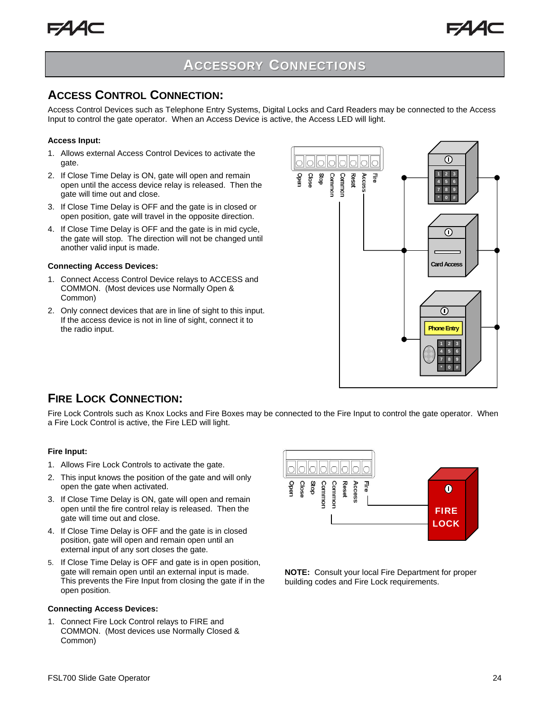![](_page_23_Picture_0.jpeg)

![](_page_23_Picture_1.jpeg)

### **ACCESS CONTROL CONNECTION:**

Access Control Devices such as Telephone Entry Systems, Digital Locks and Card Readers may be connected to the Access Input to control the gate operator. When an Access Device is active, the Access LED will light.

#### **Access Input:**

- 1. Allows external Access Control Devices to activate the gate.
- 2. If Close Time Delay is ON, gate will open and remain open until the access device relay is released. Then the gate will time out and close.
- 3. If Close Time Delay is OFF and the gate is in closed or open position, gate will travel in the opposite direction.
- 4. If Close Time Delay is OFF and the gate is in mid cycle, the gate will stop. The direction will not be changed until another valid input is made.

#### **Connecting Access Devices:**

- 1. Connect Access Control Device relays to ACCESS and COMMON. (Most devices use Normally Open & Common)
- 2. Only connect devices that are in line of sight to this input. If the access device is not in line of sight, connect it to the radio input.

![](_page_23_Figure_13.jpeg)

### **FIRE LOCK CONNECTION:**

Fire Lock Controls such as Knox Locks and Fire Boxes may be connected to the Fire Input to control the gate operator. When a Fire Lock Control is active, the Fire LED will light.

#### **Fire Input:**

- 1. Allows Fire Lock Controls to activate the gate.
- 2. This input knows the position of the gate and will only open the gate when activated.
- 3. If Close Time Delay is ON, gate will open and remain open until the fire control relay is released. Then the gate will time out and close.
- 4. If Close Time Delay is OFF and the gate is in closed position, gate will open and remain open until an external input of any sort closes the gate.
- 5. If Close Time Delay is OFF and gate is in open position, gate will remain open until an external input is made. This prevents the Fire Input from closing the gate if in the open position.

#### **Connecting Access Devices:**

1. Connect Fire Lock Control relays to FIRE and COMMON. (Most devices use Normally Closed & Common)

![](_page_23_Figure_24.jpeg)

**NOTE:** Consult your local Fire Department for proper building codes and Fire Lock requirements.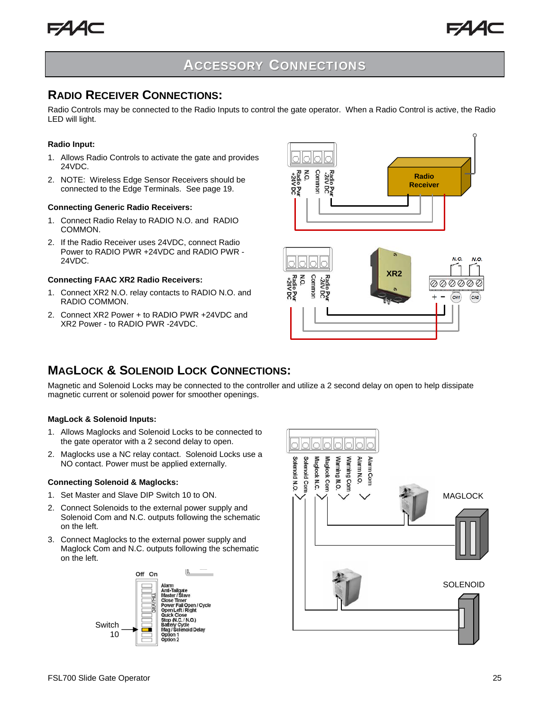![](_page_24_Picture_0.jpeg)

### **RADIO RECEIVER CONNECTIONS:**

Radio Controls may be connected to the Radio Inputs to control the gate operator. When a Radio Control is active, the Radio LED will light.

#### **Radio Input:**

- 1. Allows Radio Controls to activate the gate and provides 24VDC.
- 2. NOTE: Wireless Edge Sensor Receivers should be connected to the Edge Terminals. See page 19.

#### **Connecting Generic Radio Receivers:**

- 1. Connect Radio Relay to RADIO N.O. and RADIO COMMON.
- 2. If the Radio Receiver uses 24VDC, connect Radio Power to RADIO PWR +24VDC and RADIO PWR - 24VDC.

#### **Connecting FAAC XR2 Radio Receivers:**

- 1. Connect XR2 N.O. relay contacts to RADIO N.O. and RADIO COMMON.
- 2. Connect XR2 Power + to RADIO PWR +24VDC and XR2 Power - to RADIO PWR -24VDC.

![](_page_24_Figure_14.jpeg)

![](_page_24_Figure_15.jpeg)

### **MAGLOCK & SOLENOID LOCK CONNECTIONS:**

Magnetic and Solenoid Locks may be connected to the controller and utilize a 2 second delay on open to help dissipate magnetic current or solenoid power for smoother openings.

#### **MagLock & Solenoid Inputs:**

- 1. Allows Maglocks and Solenoid Locks to be connected to the gate operator with a 2 second delay to open.
- 2. Maglocks use a NC relay contact. Solenoid Locks use a NO contact. Power must be applied externally.

#### **Connecting Solenoid & Maglocks:**

- 1. Set Master and Slave DIP Switch 10 to ON.
- 2. Connect Solenoids to the external power supply and Solenoid Com and N.C. outputs following the schematic on the left.
- 3. Connect Maglocks to the external power supply and Maglock Com and N.C. outputs following the schematic on the left.

![](_page_24_Figure_25.jpeg)

![](_page_24_Figure_26.jpeg)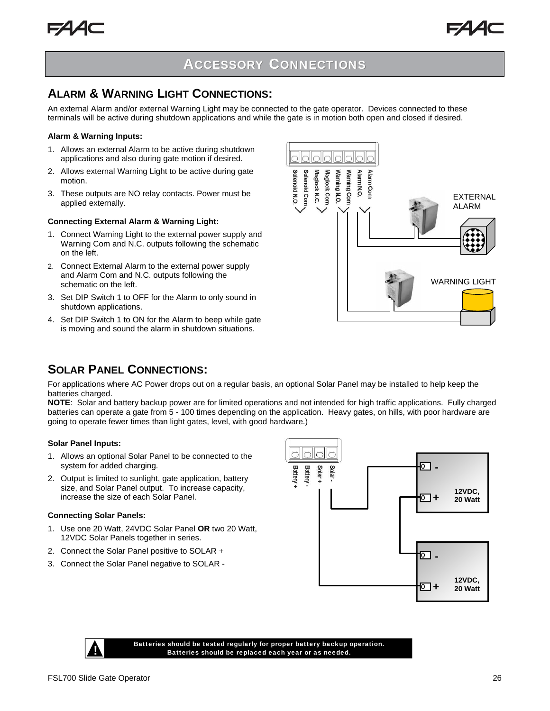### **ALARM & WARNING LIGHT CONNECTIONS:**

An external Alarm and/or external Warning Light may be connected to the gate operator. Devices connected to these terminals will be active during shutdown applications and while the gate is in motion both open and closed if desired.

#### **Alarm & Warning Inputs:**

- 1. Allows an external Alarm to be active during shutdown applications and also during gate motion if desired.
- 2. Allows external Warning Light to be active during gate motion.
- 3. These outputs are NO relay contacts. Power must be applied externally.

#### **Connecting External Alarm & Warning Light:**

- 1. Connect Warning Light to the external power supply and Warning Com and N.C. outputs following the schematic on the left.
- 2. Connect External Alarm to the external power supply and Alarm Com and N.C. outputs following the schematic on the left.
- 3. Set DIP Switch 1 to OFF for the Alarm to only sound in shutdown applications.
- 4. Set DIP Switch 1 to ON for the Alarm to beep while gate is moving and sound the alarm in shutdown situations.

![](_page_25_Figure_14.jpeg)

## **SOLAR PANEL CONNECTIONS:**

For applications where AC Power drops out on a regular basis, an optional Solar Panel may be installed to help keep the batteries charged.

**NOTE**: Solar and battery backup power are for limited operations and not intended for high traffic applications. Fully charged batteries can operate a gate from 5 - 100 times depending on the application. Heavy gates, on hills, with poor hardware are going to operate fewer times than light gates, level, with good hardware.)

#### **Solar Panel Inputs:**

- 1. Allows an optional Solar Panel to be connected to the system for added charging.
- 2. Output is limited to sunlight, gate application, battery size, and Solar Panel output. To increase capacity, increase the size of each Solar Panel.

#### **Connecting Solar Panels:**

- 1. Use one 20 Watt, 24VDC Solar Panel **OR** two 20 Watt, 12VDC Solar Panels together in series.
- 2. Connect the Solar Panel positive to SOLAR +
- 3. Connect the Solar Panel negative to SOLAR -

![](_page_25_Figure_25.jpeg)

![](_page_25_Picture_26.jpeg)

Batteries should be tested regularly for proper battery backup operation.<br> Batteries should be replaced each year or as needed.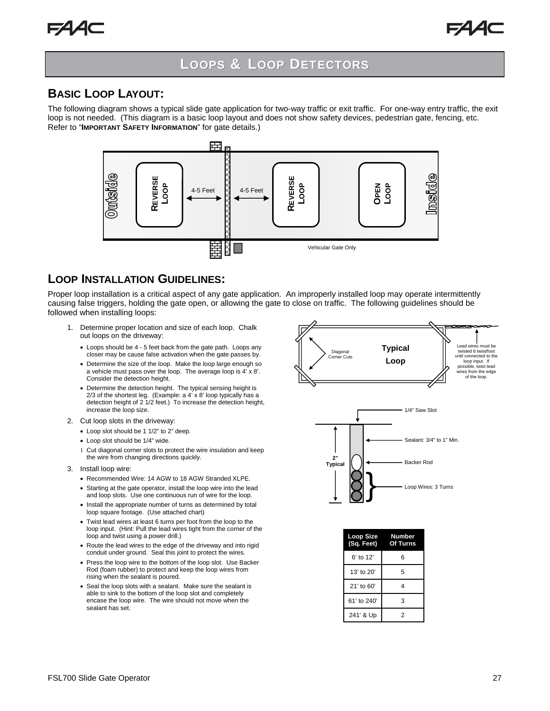## **LOOPS & LOOP DETECTORS**

### **BASIC LOOP LAYOUT:**

The following diagram shows a typical slide gate application for two-way traffic or exit traffic. For one-way entry traffic, the exit loop is not needed. (This diagram is a basic loop layout and does not show safety devices, pedestrian gate, fencing, etc. Refer to "**IMPORTANT SAFETY INFORMATION**" for gate details.)

![](_page_26_Figure_5.jpeg)

#### **LOOP INSTALLATION GUIDELINES:**

Proper loop installation is a critical aspect of any gate application. An improperly installed loop may operate intermittently causing false triggers, holding the gate open, or allowing the gate to close on traffic. The following guidelines should be followed when installing loops:

- 1. Determine proper location and size of each loop. Chalk out loops on the driveway:
	- Loops should be 4 5 feet back from the gate path. Loops any closer may be cause false activation when the gate passes by.
	- Determine the size of the loop. Make the loop large enough so a vehicle must pass over the loop. The average loop is 4' x 8'. Consider the detection height.
	- Determine the detection height. The typical sensing height is 2/3 of the shortest leg. (Example: a 4' x 8' loop typically has a detection height of 2 1/2 feet.) To increase the detection height, increase the loop size.
- 2. Cut loop slots in the driveway:
	- Loop slot should be 1 1/2" to 2" deep.
	- Loop slot should be 1/4" wide.
	- Cut diagonal corner slots to protect the wire insulation and keep the wire from changing directions quickly.
- 3. Install loop wire:
	- Recommended Wire: 14 AGW to 18 AGW Stranded XLPE.
	- Starting at the gate operator, install the loop wire into the lead and loop slots. Use one continuous run of wire for the loop.
	- Install the appropriate number of turns as determined by total loop square footage. (Use attached chart)
	- Twist lead wires at least 6 turns per foot from the loop to the loop input. (Hint: Pull the lead wires tight from the corner of the loop and twist using a power drill.)
	- Route the lead wires to the edge of the driveway and into rigid conduit under ground. Seal this joint to protect the wires.
	- Press the loop wire to the bottom of the loop slot. Use Backer Rod (foam rubber) to protect and keep the loop wires from rising when the sealant is poured.
	- Seal the loop slots with a sealant. Make sure the sealant is able to sink to the bottom of the loop slot and completely encase the loop wire. The wire should not move when the sealant has set.

![](_page_26_Figure_24.jpeg)

![](_page_26_Figure_25.jpeg)

| Loop Size<br>(Sq. Feet) | Number<br>Of Turns |
|-------------------------|--------------------|
| 6' to 12'               | 6                  |
| 13' to 20'              | 5                  |
| $21'$ to 60'            | 4                  |
| 61' to 240'             | 3                  |
| 241' & Up               | 2                  |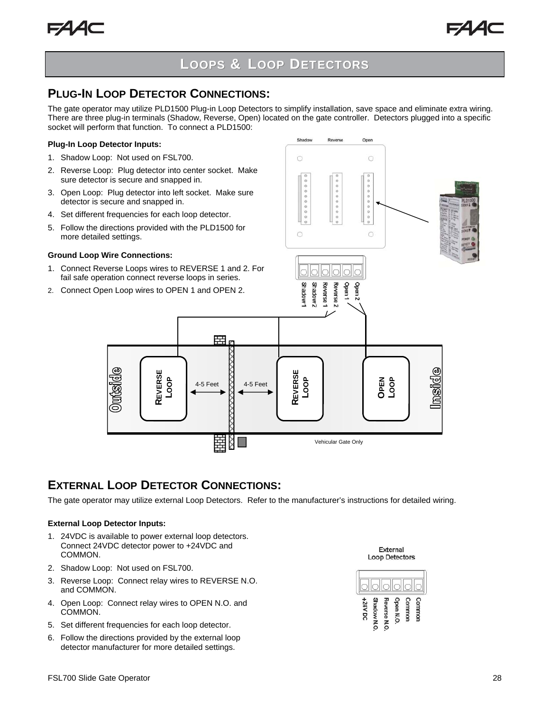## **PLUG-IN LOOP DETECTOR CONNECTIONS:**

The gate operator may utilize PLD1500 Plug-in Loop Detectors to simplify installation, save space and eliminate extra wiring. There are three plug-in terminals (Shadow, Reverse, Open) located on the gate controller. Detectors plugged into a specific socket will perform that function. To connect a PLD1500:

#### **Plug-In Loop Detector Inputs:**

- 1. Shadow Loop: Not used on FSL700.
- 2. Reverse Loop: Plug detector into center socket. Make sure detector is secure and snapped in.
- 3. Open Loop: Plug detector into left socket. Make sure detector is secure and snapped in.
- 4. Set different frequencies for each loop detector.
- 5. Follow the directions provided with the PLD1500 for more detailed settings.

#### **Ground Loop Wire Connections:**

 $0$ utside

1. Connect Reverse Loops wires to REVERSE 1 and 2. For fail safe operation connect reverse loops in series.

> **REVERSE LOOP**

2. Connect Open Loop wires to OPEN 1 and OPEN 2.

![](_page_27_Figure_13.jpeg)

## **EXTERNAL LOOP DETECTOR CONNECTIONS:**

The gate operator may utilize external Loop Detectors. Refer to the manufacturer's instructions for detailed wiring.

#### **External Loop Detector Inputs:**

- 1. 24VDC is available to power external loop detectors. Connect 24VDC detector power to +24VDC and COMMON.
- 2. Shadow Loop: Not used on FSL700.
- 3. Reverse Loop: Connect relay wires to REVERSE N.O. and COMMON.
- 4. Open Loop: Connect relay wires to OPEN N.O. and COMMON.
- 5. Set different frequencies for each loop detector.
- 6. Follow the directions provided by the external loop detector manufacturer for more detailed settings.

External **Loop Detectors** 

![](_page_27_Figure_24.jpeg)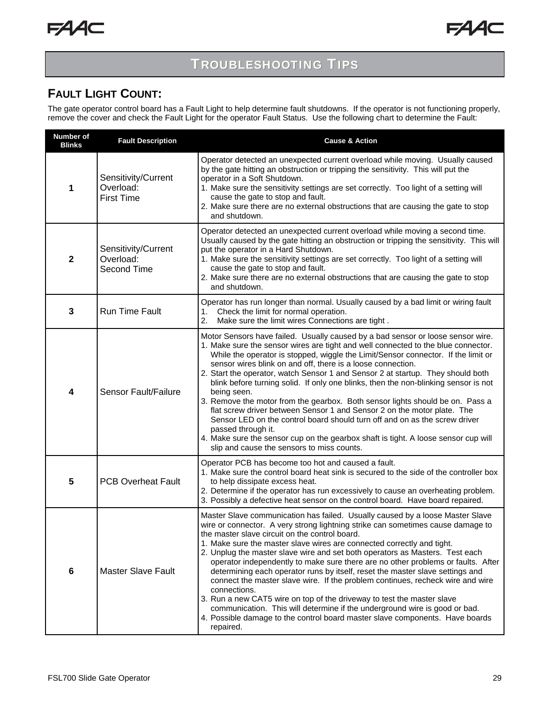## **TROUBLESHOOTING TIPS**

## **FAULT LIGHT COUNT:**

The gate operator control board has a Fault Light to help determine fault shutdowns. If the operator is not functioning properly, remove the cover and check the Fault Light for the operator Fault Status. Use the following chart to determine the Fault:

| <b>Number of</b><br><b>Blinks</b> | <b>Fault Description</b>                              | <b>Cause &amp; Action</b>                                                                                                                                                                                                                                                                                                                                                                                                                                                                                                                                                                                                                                                                                                                                                                                                                                                                                             |  |
|-----------------------------------|-------------------------------------------------------|-----------------------------------------------------------------------------------------------------------------------------------------------------------------------------------------------------------------------------------------------------------------------------------------------------------------------------------------------------------------------------------------------------------------------------------------------------------------------------------------------------------------------------------------------------------------------------------------------------------------------------------------------------------------------------------------------------------------------------------------------------------------------------------------------------------------------------------------------------------------------------------------------------------------------|--|
| 1                                 | Sensitivity/Current<br>Overload:<br><b>First Time</b> | Operator detected an unexpected current overload while moving. Usually caused<br>by the gate hitting an obstruction or tripping the sensitivity. This will put the<br>operator in a Soft Shutdown.<br>1. Make sure the sensitivity settings are set correctly. Too light of a setting will<br>cause the gate to stop and fault.<br>2. Make sure there are no external obstructions that are causing the gate to stop<br>and shutdown.                                                                                                                                                                                                                                                                                                                                                                                                                                                                                 |  |
| $\mathbf{2}$                      | Sensitivity/Current<br>Overload:<br>Second Time       | Operator detected an unexpected current overload while moving a second time.<br>Usually caused by the gate hitting an obstruction or tripping the sensitivity. This will<br>put the operator in a Hard Shutdown.<br>1. Make sure the sensitivity settings are set correctly. Too light of a setting will<br>cause the gate to stop and fault.<br>2. Make sure there are no external obstructions that are causing the gate to stop<br>and shutdown.                                                                                                                                                                                                                                                                                                                                                                                                                                                                   |  |
| 3                                 | <b>Run Time Fault</b>                                 | Operator has run longer than normal. Usually caused by a bad limit or wiring fault<br>Check the limit for normal operation.<br>1.<br>2.<br>Make sure the limit wires Connections are tight.                                                                                                                                                                                                                                                                                                                                                                                                                                                                                                                                                                                                                                                                                                                           |  |
| 4                                 | <b>Sensor Fault/Failure</b>                           | Motor Sensors have failed. Usually caused by a bad sensor or loose sensor wire.<br>1. Make sure the sensor wires are tight and well connected to the blue connector.<br>While the operator is stopped, wiggle the Limit/Sensor connector. If the limit or<br>sensor wires blink on and off, there is a loose connection.<br>2. Start the operator, watch Sensor 1 and Sensor 2 at startup. They should both<br>blink before turning solid. If only one blinks, then the non-blinking sensor is not<br>being seen.<br>3. Remove the motor from the gearbox. Both sensor lights should be on. Pass a<br>flat screw driver between Sensor 1 and Sensor 2 on the motor plate. The<br>Sensor LED on the control board should turn off and on as the screw driver<br>passed through it.<br>4. Make sure the sensor cup on the gearbox shaft is tight. A loose sensor cup will<br>slip and cause the sensors to miss counts. |  |
| 5                                 | <b>PCB Overheat Fault</b>                             | Operator PCB has become too hot and caused a fault.<br>1. Make sure the control board heat sink is secured to the side of the controller box<br>to help dissipate excess heat.<br>2. Determine if the operator has run excessively to cause an overheating problem.<br>3. Possibly a defective heat sensor on the control board. Have board repaired.                                                                                                                                                                                                                                                                                                                                                                                                                                                                                                                                                                 |  |
| 6                                 | <b>Master Slave Fault</b>                             | Master Slave communication has failed. Usually caused by a loose Master Slave<br>wire or connector. A very strong lightning strike can sometimes cause damage to<br>the master slave circuit on the control board.<br>1. Make sure the master slave wires are connected correctly and tight.<br>2. Unplug the master slave wire and set both operators as Masters. Test each<br>operator independently to make sure there are no other problems or faults. After<br>determining each operator runs by itself, reset the master slave settings and<br>connect the master slave wire. If the problem continues, recheck wire and wire<br>connections.<br>3. Run a new CAT5 wire on top of the driveway to test the master slave<br>communication. This will determine if the underground wire is good or bad.<br>4. Possible damage to the control board master slave components. Have boards<br>repaired.              |  |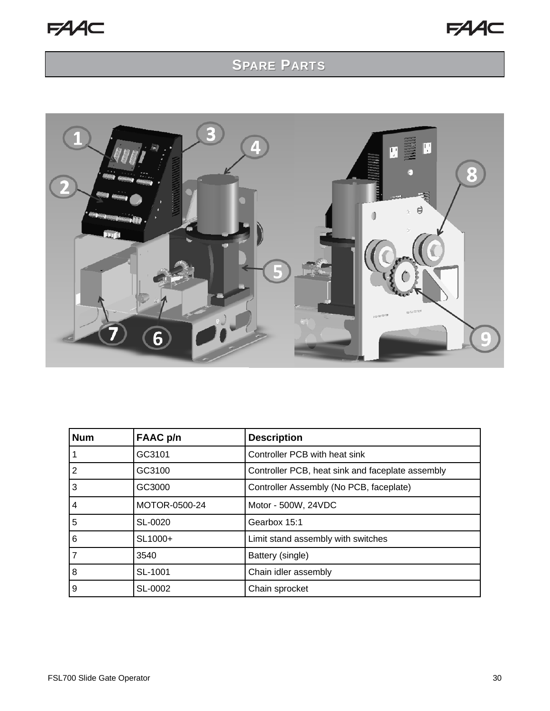## SPARE PARTS

![](_page_29_Picture_3.jpeg)

| <b>Num</b> | FAAC p/n            | <b>Description</b>                               |
|------------|---------------------|--------------------------------------------------|
|            | GC3101              | Controller PCB with heat sink                    |
| 2          | GC3100              | Controller PCB, heat sink and faceplate assembly |
| 3          | GC3000              | Controller Assembly (No PCB, faceplate)          |
| 4          | MOTOR-0500-24       | Motor - 500W, 24VDC                              |
| 5          | SL-0020             | Gearbox 15:1                                     |
| 6          | SL <sub>1000+</sub> | Limit stand assembly with switches               |
| 7          | 3540                | Battery (single)                                 |
| 8          | SL-1001             | Chain idler assembly                             |
| 9          | SL-0002             | Chain sprocket                                   |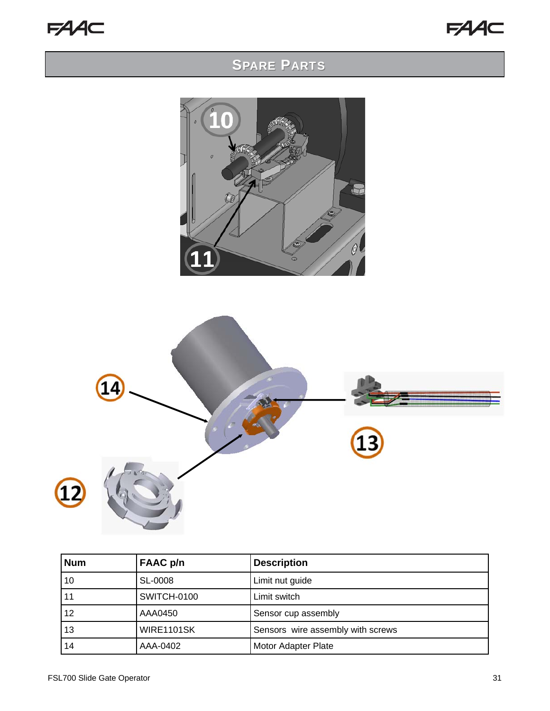![](_page_30_Picture_1.jpeg)

## SPARE PARTS

![](_page_30_Picture_3.jpeg)

![](_page_30_Figure_4.jpeg)

| <b>Num</b> | <b>FAAC</b> p/n   | <b>Description</b>                |
|------------|-------------------|-----------------------------------|
| 10         | SL-0008           | Limit nut guide                   |
| 11         | SWITCH-0100       | Limit switch                      |
| 12         | AAA0450           | Sensor cup assembly               |
| 13         | <b>WIRE1101SK</b> | Sensors wire assembly with screws |
| 14         | AAA-0402          | Motor Adapter Plate               |